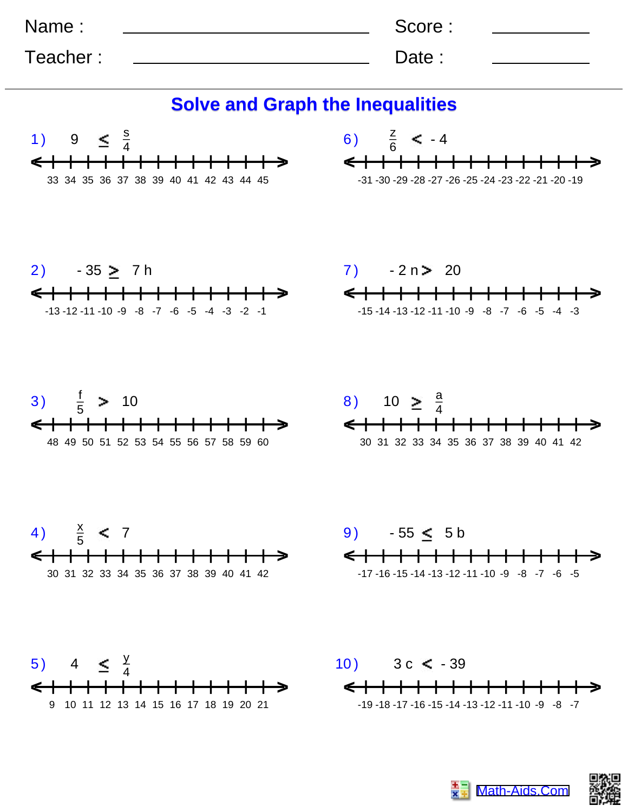| Name:    | Score: |  |
|----------|--------|--|
| Teacher: | Date:  |  |